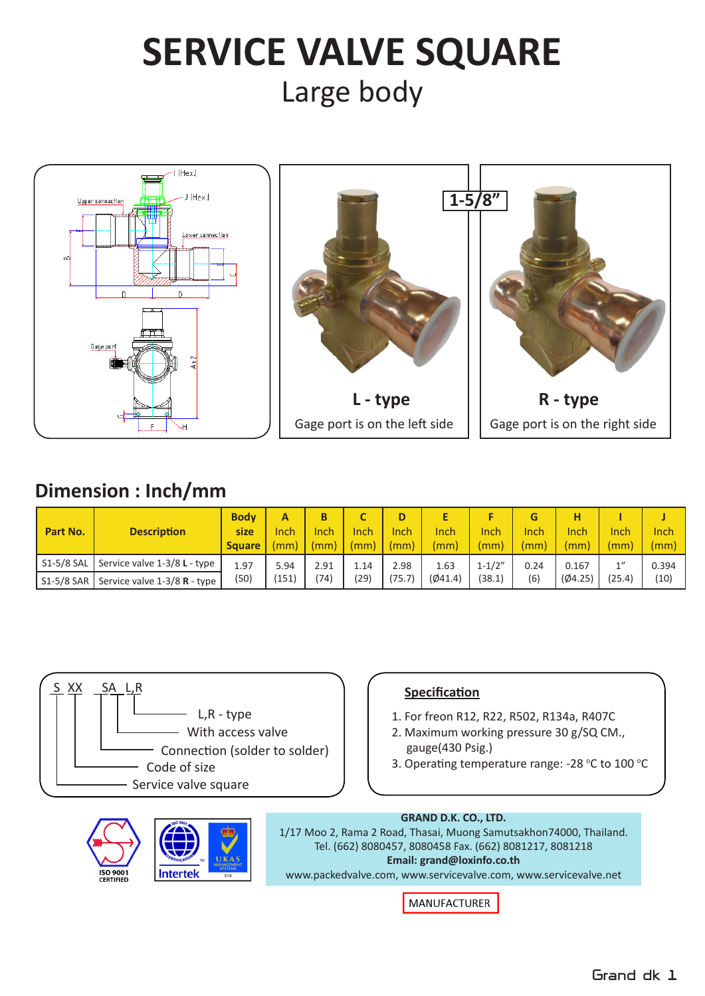# **SERVICE VALVE SQUARE** Large body







# **Dimension : Inch/mm**

| Part No.     | <b>Description</b>           | <b>Body</b><br><b>size</b><br><b>Square</b> | Inch<br>mm) | Inch<br>(mm) | Inch<br>(mm) | D<br>Inch<br>(mm) | Inch<br>(mm) | Inch<br>$\mathsf{m}\mathsf{m}$ | Inch<br>(mm) | Inch<br>(mm) | Inch<br>(mm) | Inch<br>(mm) |
|--------------|------------------------------|---------------------------------------------|-------------|--------------|--------------|-------------------|--------------|--------------------------------|--------------|--------------|--------------|--------------|
| $S1-5/8$ SAL | Service valve 1-3/8 L - type | 1.97                                        | 5.94        | 2.91         | 1.14         | 2.98              | 1.63         | $1 - 1/2"$                     | 0.24         | 0.167        | 1            | 0.394        |
| $S1-5/8$ SAR | Service valve 1-3/8 R - type | (50)                                        | '151)       | '74)         | (29)         | (75.7)            | (Ø41.4)      | (38.1)                         | (6)          | (04.25)      | (25.4)       | (10)         |



- 1. For freon R12, R22, R502, R134a, R407C
- 2. Maximum working pressure 30 g/SQ CM., gauge(430 Psig.)
- 3. Operating temperature range: -28 °C to 100 °C





### **GRAND D.K. CO., LTD.**

1/17 Moo 2, Rama 2 Road, Thasai, Muong Samutsakhon74000, Thailand. Tel. (662) 8080457, 8080458 Fax. (662) 8081217, 8081218 **Email: grand@loxinfo.co.th**

www.packedvalve.com, www.servicevalve.com, www.servicevalve.net

**MANUFACTURER**